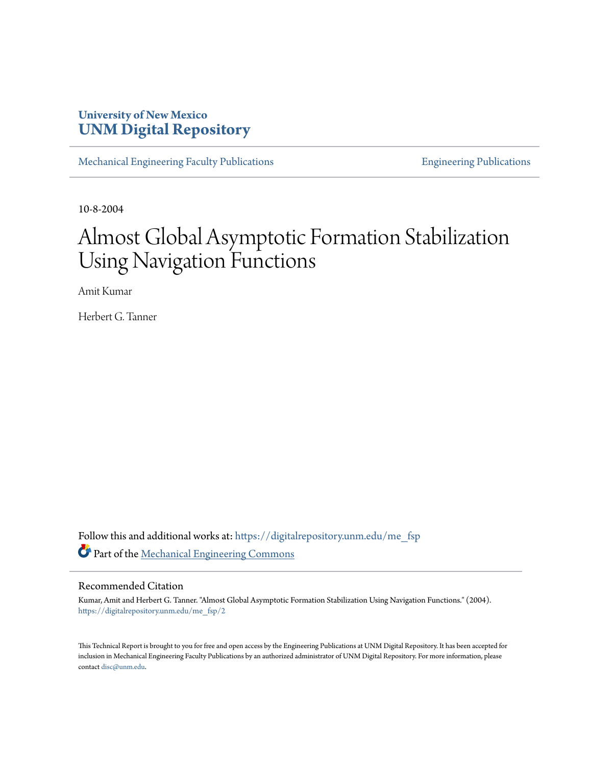## **University of New Mexico [UNM Digital Repository](https://digitalrepository.unm.edu?utm_source=digitalrepository.unm.edu%2Fme_fsp%2F2&utm_medium=PDF&utm_campaign=PDFCoverPages)**

[Mechanical Engineering Faculty Publications](https://digitalrepository.unm.edu/me_fsp?utm_source=digitalrepository.unm.edu%2Fme_fsp%2F2&utm_medium=PDF&utm_campaign=PDFCoverPages) **[Engineering Publications](https://digitalrepository.unm.edu/eng_fsp?utm_source=digitalrepository.unm.edu%2Fme_fsp%2F2&utm_medium=PDF&utm_campaign=PDFCoverPages)** Engineering Publications

10-8-2004

# Almost Global Asymptotic Formation Stabilization Using Navigation Functions

Amit Kumar

Herbert G. Tanner

Follow this and additional works at: [https://digitalrepository.unm.edu/me\\_fsp](https://digitalrepository.unm.edu/me_fsp?utm_source=digitalrepository.unm.edu%2Fme_fsp%2F2&utm_medium=PDF&utm_campaign=PDFCoverPages) Part of the [Mechanical Engineering Commons](http://network.bepress.com/hgg/discipline/293?utm_source=digitalrepository.unm.edu%2Fme_fsp%2F2&utm_medium=PDF&utm_campaign=PDFCoverPages)

### Recommended Citation

Kumar, Amit and Herbert G. Tanner. "Almost Global Asymptotic Formation Stabilization Using Navigation Functions." (2004). [https://digitalrepository.unm.edu/me\\_fsp/2](https://digitalrepository.unm.edu/me_fsp/2?utm_source=digitalrepository.unm.edu%2Fme_fsp%2F2&utm_medium=PDF&utm_campaign=PDFCoverPages)

This Technical Report is brought to you for free and open access by the Engineering Publications at UNM Digital Repository. It has been accepted for inclusion in Mechanical Engineering Faculty Publications by an authorized administrator of UNM Digital Repository. For more information, please contact [disc@unm.edu.](mailto:disc@unm.edu)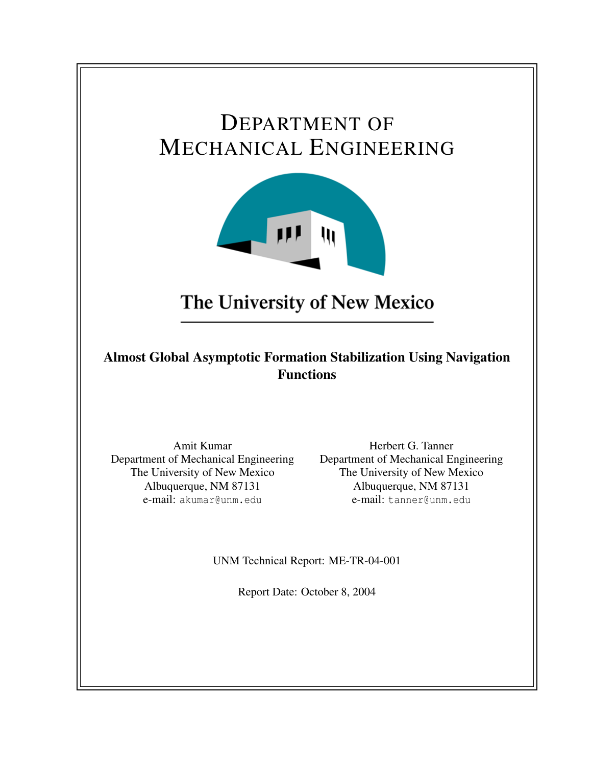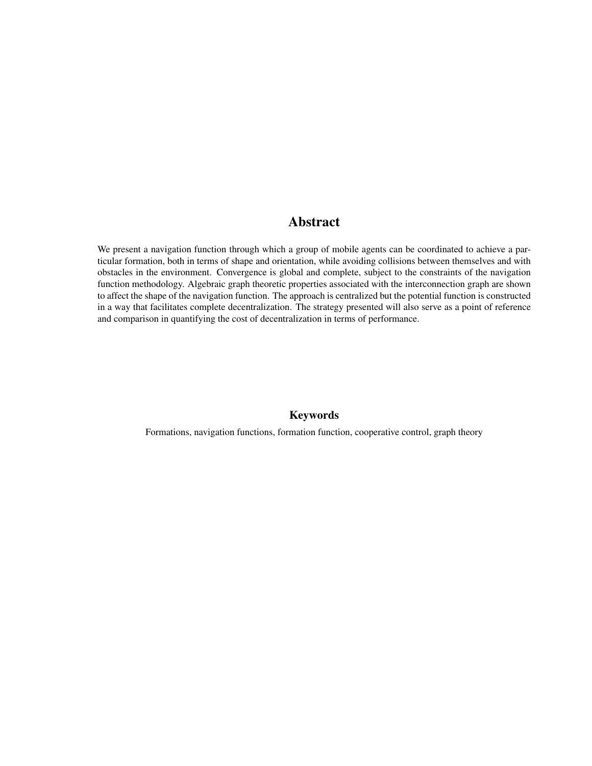## Abstract

We present a navigation function through which a group of mobile agents can be coordinated to achieve a particular formation, both in terms of shape and orientation, while avoiding collisions between themselves and with obstacles in the environment. Convergence is global and complete, subject to the constraints of the navigation function methodology. Algebraic graph theoretic properties associated with the interconnection graph are shown to affect the shape of the navigation function. The approach is centralized but the potential function is constructed in a way that facilitates complete decentralization. The strategy presented will also serve as a point of reference and comparison in quantifying the cost of decentralization in terms of performance.

### Keywords

Formations, navigation functions, formation function, cooperative control, graph theory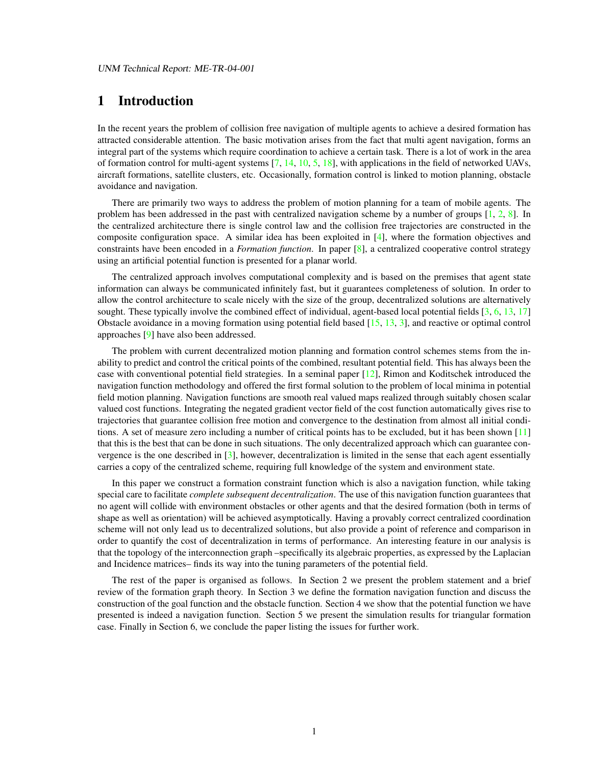### 1 Introduction

In the recent years the problem of collision free navigation of multiple agents to achieve a desired formation has attracted considerable attention. The basic motivation arises from the fact that multi agent navigation, forms an integral part of the systems which require coordination to achieve a certain task. There is a lot of work in the area of formation control for multi-agent systems  $[7, 14, 10, 5, 18]$  $[7, 14, 10, 5, 18]$  $[7, 14, 10, 5, 18]$  $[7, 14, 10, 5, 18]$  $[7, 14, 10, 5, 18]$  $[7, 14, 10, 5, 18]$  $[7, 14, 10, 5, 18]$  $[7, 14, 10, 5, 18]$  $[7, 14, 10, 5, 18]$ , with applications in the field of networked UAVs, aircraft formations, satellite clusters, etc. Occasionally, formation control is linked to motion planning, obstacle avoidance and navigation.

There are primarily two ways to address the problem of motion planning for a team of mobile agents. The problem has been addressed in the past with centralized navigation scheme by a number of groups [\[1,](#page-11-0) [2,](#page-12-3) [8\]](#page-12-4). In the centralized architecture there is single control law and the collision free trajectories are constructed in the composite configuration space. A similar idea has been exploited in [\[4\]](#page-12-5), where the formation objectives and constraints have been encoded in a *Formation function*. In paper [\[8\]](#page-12-4), a centralized cooperative control strategy using an artificial potential function is presented for a planar world.

The centralized approach involves computational complexity and is based on the premises that agent state information can always be communicated infinitely fast, but it guarantees completeness of solution. In order to allow the control architecture to scale nicely with the size of the group, decentralized solutions are alternatively sought. These typically involve the combined effect of individual, agent-based local potential fields [\[3,](#page-12-6) [6,](#page-12-7) [13,](#page-13-2) [17\]](#page-13-3) Obstacle avoidance in a moving formation using potential field based [\[15,](#page-13-4) [13,](#page-13-2) [3\]](#page-12-6), and reactive or optimal control approaches [\[9\]](#page-12-8) have also been addressed.

The problem with current decentralized motion planning and formation control schemes stems from the inability to predict and control the critical points of the combined, resultant potential field. This has always been the case with conventional potential field strategies. In a seminal paper [\[12\]](#page-13-5), Rimon and Koditschek introduced the navigation function methodology and offered the first formal solution to the problem of local minima in potential field motion planning. Navigation functions are smooth real valued maps realized through suitably chosen scalar valued cost functions. Integrating the negated gradient vector field of the cost function automatically gives rise to trajectories that guarantee collision free motion and convergence to the destination from almost all initial conditions. A set of measure zero including a number of critical points has to be excluded, but it has been shown [\[11\]](#page-13-6) that this is the best that can be done in such situations. The only decentralized approach which can guarantee convergence is the one described in [\[3\]](#page-12-6), however, decentralization is limited in the sense that each agent essentially carries a copy of the centralized scheme, requiring full knowledge of the system and environment state.

In this paper we construct a formation constraint function which is also a navigation function, while taking special care to facilitate *complete subsequent decentralization*. The use of this navigation function guarantees that no agent will collide with environment obstacles or other agents and that the desired formation (both in terms of shape as well as orientation) will be achieved asymptotically. Having a provably correct centralized coordination scheme will not only lead us to decentralized solutions, but also provide a point of reference and comparison in order to quantify the cost of decentralization in terms of performance. An interesting feature in our analysis is that the topology of the interconnection graph –specifically its algebraic properties, as expressed by the Laplacian and Incidence matrices– finds its way into the tuning parameters of the potential field.

The rest of the paper is organised as follows. In Section 2 we present the problem statement and a brief review of the formation graph theory. In Section 3 we define the formation navigation function and discuss the construction of the goal function and the obstacle function. Section 4 we show that the potential function we have presented is indeed a navigation function. Section 5 we present the simulation results for triangular formation case. Finally in Section 6, we conclude the paper listing the issues for further work.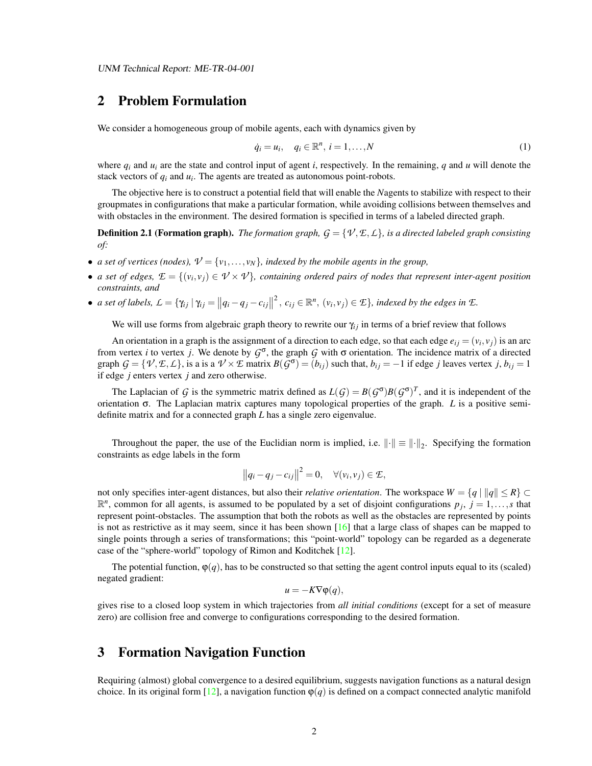### 2 Problem Formulation

We consider a homogeneous group of mobile agents, each with dynamics given by

<span id="page-4-1"></span>
$$
\dot{q}_i = u_i, \quad q_i \in \mathbb{R}^n, \quad i = 1, \dots, N
$$
\n<sup>(1)</sup>

where  $q_i$  and  $u_i$  are the state and control input of agent *i*, respectively. In the remaining, *q* and *u* will denote the stack vectors of  $q_i$  and  $u_i$ . The agents are treated as autonomous point-robots.

The objective here is to construct a potential field that will enable the *N*agents to stabilize with respect to their groupmates in configurations that make a particular formation, while avoiding collisions between themselves and with obstacles in the environment. The desired formation is specified in terms of a labeled directed graph.

**Definition 2.1 (Formation graph).** *The formation graph,*  $G = \{V, E, L\}$ *, is a directed labeled graph consisting of:*

- *a set of vertices (nodes),*  $V = \{v_1, \ldots, v_N\}$ *, indexed by the mobile agents in the group,*
- *a set of edges,*  $\mathcal{E} = \{(v_i, v_j) \in V \times V\}$ , containing ordered pairs of nodes that represent inter-agent position *constraints, and*
- *a set of labels,*  $L = \{\gamma_{ij} | \gamma_{ij} = ||q_i q_j c_{ij}||$  $^2$ ,  $c_{ij} \in \mathbb{R}^n$ ,  $(v_i, v_j) \in \mathcal{I}$ , *indexed by the edges in*  $\mathcal{I}$ *.*

We will use forms from algebraic graph theory to rewrite our  $\gamma_{ij}$  in terms of a brief review that follows

An orientation in a graph is the assignment of a direction to each edge, so that each edge  $e_{ij} = (v_i, v_j)$  is an arc from vertex *i* to vertex *j*. We denote by  $G^{\sigma}$ , the graph  $G$  with  $\sigma$  orientation. The incidence matrix of a directed graph  $G = \{V, E, L\}$ , is a is a  $V \times E$  matrix  $B(G^{\sigma}) = (b_{ij})$  such that,  $b_{ij} = -1$  if edge j leaves vertex j,  $b_{ij} = 1$ if edge *j* enters vertex *j* and zero otherwise.

The Laplacian of *G* is the symmetric matrix defined as  $L(G) = B(G^{\sigma})B(G^{\sigma})^T$ , and it is independent of the orientation σ. The Laplacian matrix captures many topological properties of the graph. *L* is a positive semidefinite matrix and for a connected graph *L* has a single zero eigenvalue.

Throughout the paper, the use of the Euclidian norm is implied, i.e.  $\|\cdot\| \equiv \|\cdot\|_2$ . Specifying the formation constraints as edge labels in the form

$$
||q_i - q_j - c_{ij}||^2 = 0, \quad \forall (v_i, v_j) \in \mathcal{E},
$$

not only specifies inter-agent distances, but also their *relative orientation*. The workspace  $W = \{q \mid ||q|| \le R\} \subset$  $\mathbb{R}^n$ , common for all agents, is assumed to be populated by a set of disjoint configurations  $p_j$ ,  $j = 1, \ldots, s$  that represent point-obstacles. The assumption that both the robots as well as the obstacles are represented by points is not as restrictive as it may seem, since it has been shown  $[16]$  that a large class of shapes can be mapped to single points through a series of transformations; this "point-world" topology can be regarded as a degenerate case of the "sphere-world" topology of Rimon and Koditchek [\[12\]](#page-13-5).

The potential function,  $\varphi(q)$ , has to be constructed so that setting the agent control inputs equal to its (scaled) negated gradient:

$$
u = -K\nabla \varphi(q),
$$

gives rise to a closed loop system in which trajectories from *all initial conditions* (except for a set of measure zero) are collision free and converge to configurations corresponding to the desired formation.

### <span id="page-4-0"></span>3 Formation Navigation Function

Requiring (almost) global convergence to a desired equilibrium, suggests navigation functions as a natural design choice. In its original form [\[12\]](#page-13-5), a navigation function  $\varphi(q)$  is defined on a compact connected analytic manifold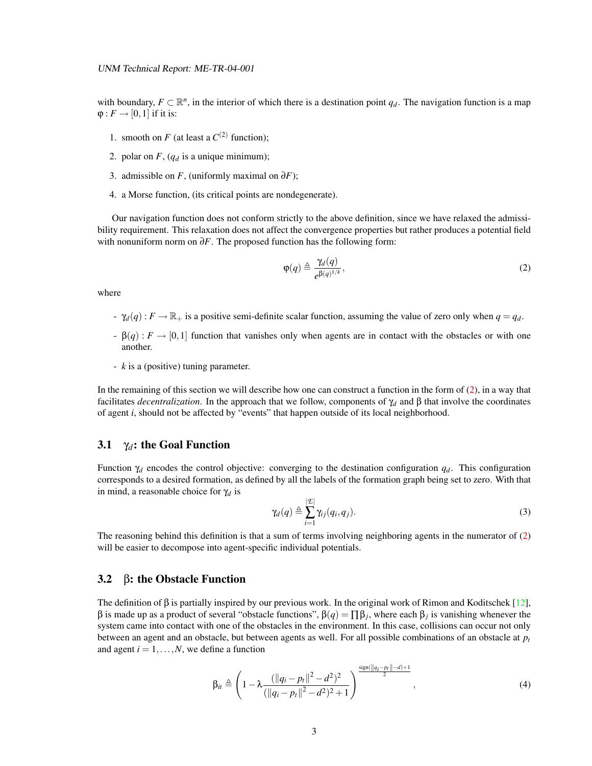with boundary,  $F \subset \mathbb{R}^n$ , in the interior of which there is a destination point  $q_d$ . The navigation function is a map  $\varphi: F \to [0,1]$  if it is:

- 1. smooth on *F* (at least a  $C^{(2)}$  function);
- 2. polar on  $F$ ,  $(q_d$  is a unique minimum);
- 3. admissible on *F*, (uniformly maximal on  $\partial F$ );
- 4. a Morse function, (its critical points are nondegenerate).

Our navigation function does not conform strictly to the above definition, since we have relaxed the admissibility requirement. This relaxation does not affect the convergence properties but rather produces a potential field with nonuniform norm on ∂*F*. The proposed function has the following form:

<span id="page-5-0"></span>
$$
\varphi(q) \triangleq \frac{\gamma_d(q)}{e^{\beta(q)^{1/k}}},\tag{2}
$$

where

- $q = \gamma_d(q)$ :  $F \to \mathbb{R}_+$  is a positive semi-definite scalar function, assuming the value of zero only when  $q = q_d$ .
- $\beta(q) : F \to [0,1]$  function that vanishes only when agents are in contact with the obstacles or with one another.
- *k* is a (positive) tuning parameter.

In the remaining of this section we will describe how one can construct a function in the form of [\(2\)](#page-5-0), in a way that facilitates *decentralization*. In the approach that we follow, components of  $\gamma_d$  and  $\beta$  that involve the coordinates of agent *i*, should not be affected by "events" that happen outside of its local neighborhood.

#### 3.1  $\gamma_d$ : the Goal Function

Function  $\gamma_d$  encodes the control objective: converging to the destination configuration  $q_d$ . This configuration corresponds to a desired formation, as defined by all the labels of the formation graph being set to zero. With that in mind, a reasonable choice for γ*<sup>d</sup>* is

$$
\gamma_d(q) \triangleq \sum_{i=1}^{|\mathcal{L}|} \gamma_{ij}(q_i, q_j). \tag{3}
$$

The reasoning behind this definition is that a sum of terms involving neighboring agents in the numerator of [\(2\)](#page-5-0) will be easier to decompose into agent-specific individual potentials.

### 3.2 β: the Obstacle Function

The definition of  $\beta$  is partially inspired by our previous work. In the original work of Rimon and Koditschek [\[12\]](#page-13-5), β is made up as a product of several "obstacle functions", β(*q*) = ∏β*<sup>j</sup>* , where each β*<sup>j</sup>* is vanishing whenever the system came into contact with one of the obstacles in the environment. In this case, collisions can occur not only between an agent and an obstacle, but between agents as well. For all possible combinations of an obstacle at *p<sup>t</sup>* and agent  $i = 1, \ldots, N$ , we define a function

<span id="page-5-1"></span>
$$
\beta_{it} \triangleq \left(1 - \lambda \frac{(\|q_i - p_t\|^2 - d^2)^2}{(\|q_i - p_t\|^2 - d^2)^2 + 1}\right)^{\frac{\text{sign}(\|q_i - p_t\| - d) + 1}{2}}, \tag{4}
$$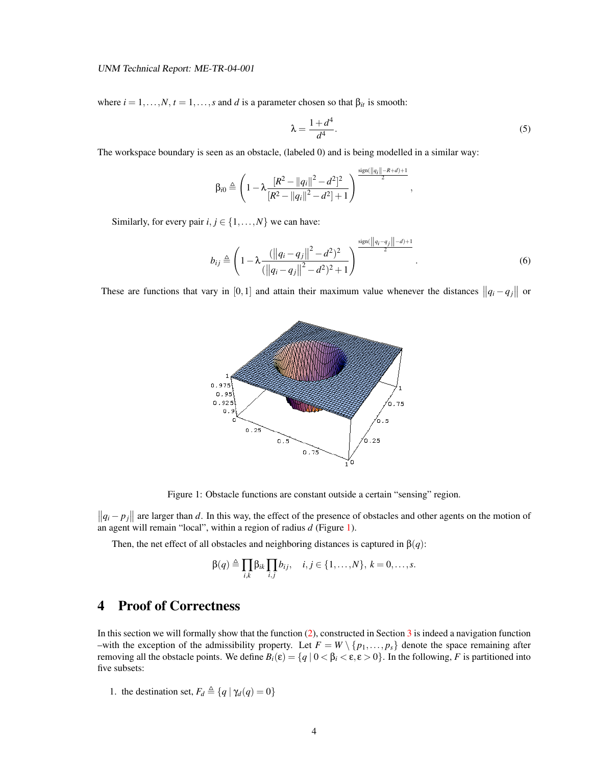where  $i = 1, \ldots, N, t = 1, \ldots, s$  and *d* is a parameter chosen so that  $\beta_{it}$  is smooth:

$$
\lambda = \frac{1 + d^4}{d^4}.\tag{5}
$$

<span id="page-6-1"></span>,

The workspace boundary is seen as an obstacle, (labeled 0) and is being modelled in a similar way:

$$
\beta_{i0} \triangleq \left(1 - \lambda \frac{[R^2 - \|q_i\|^2 - d^2]^2}{[R^2 - \|q_i\|^2 - d^2] + 1}\right)^{\frac{\text{sign}(\|q_i\| - R + d) + 1}{2}}
$$

Similarly, for every pair  $i, j \in \{1, \ldots, N\}$  we can have:

$$
b_{ij} \triangleq \left(1 - \lambda \frac{\left(\left\|q_i - q_j\right\|^2 - d^2\right)^2}{\left(\left\|q_i - q_j\right\|^2 - d^2\right)^2 + 1}\right)^{\frac{\text{sign}\left(\left\|q_i - q_j\right\|^2 - d\right) + 1}{2}}.
$$
\n(6)

These are functions that vary in [0,1] and attain their maximum value whenever the distances  $||q_i - q_j||$  or



<span id="page-6-0"></span>Figure 1: Obstacle functions are constant outside a certain "sensing" region.

 $||q_i - p_j||$  are larger than *d*. In this way, the effect of the presence of obstacles and other agents on the motion of an agent will remain "local", within a region of radius *d* (Figure [1\)](#page-6-0).

Then, the net effect of all obstacles and neighboring distances is captured in  $\beta(q)$ :

$$
\beta(q) \triangleq \prod_{i,k} \beta_{ik} \prod_{i,j} b_{ij}, \quad i,j \in \{1,\ldots,N\}, k = 0,\ldots,s.
$$

### 4 Proof of Correctness

In this section we will formally show that the function [\(2\)](#page-5-0), constructed in Section [3](#page-4-0) is indeed a navigation function –with the exception of the admissibility property. Let  $F = W \setminus \{p_1, \ldots, p_s\}$  denote the space remaining after removing all the obstacle points. We define  $B_i(\varepsilon) = \{q \mid 0 < \beta_i < \varepsilon, \varepsilon > 0\}$ . In the following, *F* is partitioned into five subsets:

1. the destination set,  $F_d \triangleq \{q | \gamma_d(q) = 0\}$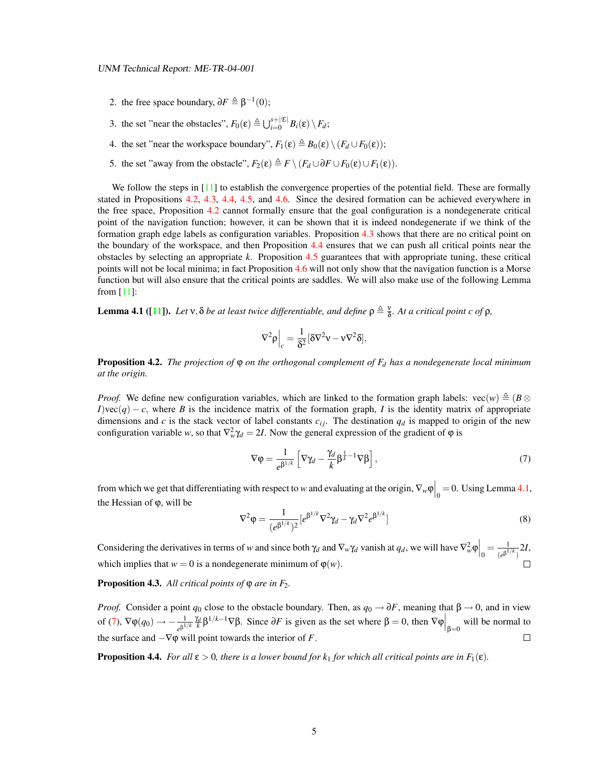- 2. the free space boundary,  $\partial F \triangleq \beta^{-1}(0)$ ;
- 3. the set "near the obstacles",  $F_0(\varepsilon) \triangleq \bigcup_{i=0}^{s+|\mathcal{E}|} B_i(\varepsilon) \setminus F_d$ ;
- 4. the set "near the workspace boundary",  $F_1(\varepsilon) \triangleq B_0(\varepsilon) \setminus (F_d \cup F_0(\varepsilon))$ ;
- 5. the set "away from the obstacle",  $F_2(\varepsilon) \triangleq F \setminus (F_d \cup \partial F \cup F_0(\varepsilon) \cup F_1(\varepsilon))$ .

We follow the steps in [\[11\]](#page-13-6) to establish the convergence properties of the potential field. These are formally stated in Propositions [4.2,](#page-7-0) [4.3,](#page-7-1) [4.4,](#page-7-2) [4.5,](#page-8-0) and [4.6.](#page-9-0) Since the desired formation can be achieved everywhere in the free space, Proposition [4.2](#page-7-0) cannot formally ensure that the goal configuration is a nondegenerate critical point of the navigation function; however, it can be shown that it is indeed nondegenerate if we think of the formation graph edge labels as configuration variables. Proposition [4.3](#page-7-1) shows that there are no critical point on the boundary of the workspace, and then Proposition [4.4](#page-7-2) ensures that we can push all critical points near the obstacles by selecting an appropriate *k*. Proposition [4.5](#page-8-0) guarantees that with appropriate tuning, these critical points will not be local minima; in fact Proposition [4.6](#page-9-0) will not only show that the navigation function is a Morse function but will also ensure that the critical points are saddles. We will also make use of the following Lemma from [\[11\]](#page-13-6):

<span id="page-7-3"></span>**Lemma 4.1** ([\[11\]](#page-13-6)). Let  $v$ ,  $\delta$  be at least twice differentiable, and define  $\rho \triangleq \frac{v}{\delta}$ . At a critical point c of  $\rho$ ,

$$
\nabla^2 \rho\Big|_c = \frac{1}{\delta^2} [\delta \nabla^2 \nu - \nu \nabla^2 \delta],
$$

<span id="page-7-0"></span>Proposition 4.2. *The projection of* ϕ *on the orthogonal complement of F<sup>d</sup> has a nondegenerate local minimum at the origin.*

*Proof.* We define new configuration variables, which are linked to the formation graph labels:  $\text{vec}(w) \triangleq (B \otimes$ *I*)vec(*q*) − *c*, where *B* is the incidence matrix of the formation graph, *I* is the identity matrix of appropriate dimensions and *c* is the stack vector of label constants  $c_{ij}$ . The destination  $q_d$  is mapped to origin of the new configuration variable *w*, so that  $\nabla_w^2 \gamma_d = 2I$ . Now the general expression of the gradient of  $\varphi$  is

<span id="page-7-4"></span>
$$
\nabla \varphi = \frac{1}{e^{\beta^{1/k}}} \left[ \nabla \gamma_d - \frac{\gamma_d}{k} \beta^{\frac{1}{k}-1} \nabla \beta \right],\tag{7}
$$

from which we get that differentiating with respect to *w* and evaluating at the origin,  $\nabla_w \varphi \Big|_0 = 0$ . Using Lemma [4.1,](#page-7-3) the Hessian of ϕ, will be

<span id="page-7-5"></span>
$$
\nabla^2 \varphi = \frac{1}{(e^{\beta^{1/k}})^2} [e^{\beta^{1/k}} \nabla^2 \gamma_d - \gamma_d \nabla^2 e^{\beta^{1/k}}]
$$
(8)

Considering the derivatives in terms of *w* and since both  $\gamma_d$  and  $\nabla_w \gamma_d$  vanish at  $q_d$ , we will have  $\nabla_w^2 \varphi \Big|_0 = \frac{1}{(e^{\beta^1})^d}$  $\frac{1}{(e^{\beta^{1/k}})}$ 2*I*, which implies that  $w = 0$  is a nondegenerate minimum of  $\varphi(w)$ .

<span id="page-7-1"></span>**Proposition 4.3.** All critical points of  $\phi$  are in F<sub>2</sub>.

*Proof.* Consider a point  $q_0$  close to the obstacle boundary. Then, as  $q_0 \to \partial F$ , meaning that  $\beta \to 0$ , and in view of [\(7\)](#page-7-4),  $\nabla \varphi(q_0) \to -\frac{1}{e^{\beta^{1/k}}}\frac{\gamma_d}{k} \beta^{1/k-1} \nabla \beta$ . Since  $\partial F$  is given as the set where  $\beta = 0$ , then  $\nabla \varphi \Big|_{\beta=0}$  will be normal to the surface and  $-\nabla\varphi$  will point towards the interior of *F*.  $\Box$ 

<span id="page-7-2"></span>**Proposition 4.4.** *For all*  $\varepsilon > 0$ *, there is a lower bound for k<sub>1</sub> for which all critical points are in*  $F_1(\varepsilon)$ *.*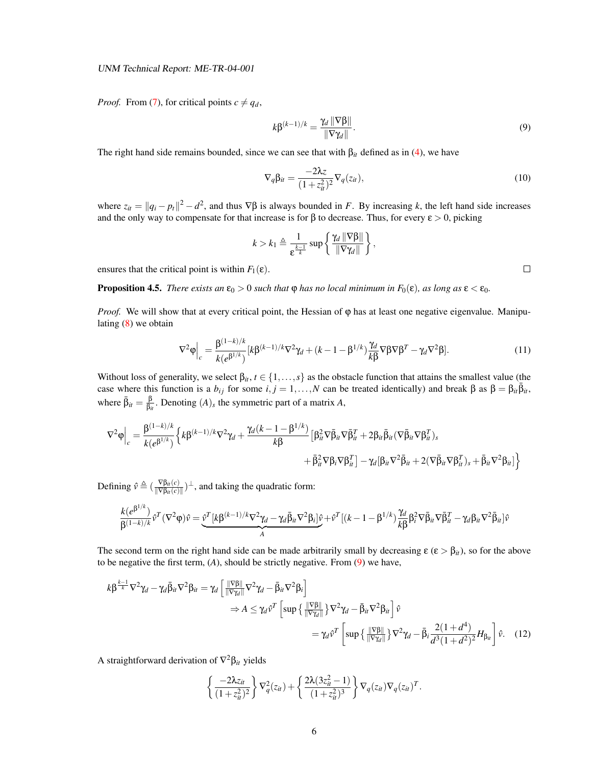*Proof.* From [\(7\)](#page-7-4), for critical points  $c \neq q_d$ ,

<span id="page-8-1"></span>
$$
k\beta^{(k-1)/k} = \frac{\gamma_d \|\nabla \beta\|}{\|\nabla \gamma_d\|}.
$$
\n(9)

The right hand side remains bounded, since we can see that with  $\beta_{it}$  defined as in [\(4\)](#page-5-1), we have

$$
\nabla_q \beta_{it} = \frac{-2\lambda z}{(1 + z_{it}^2)^2} \nabla_q(z_{it}),
$$
\n(10)

where  $z_{it} = ||q_i - p_t||^2 - d^2$ , and thus  $\nabla \beta$  is always bounded in *F*. By increasing *k*, the left hand side increases and the only way to compensate for that increase is for  $\beta$  to decrease. Thus, for every  $\epsilon > 0$ , picking

$$
k > k_1 \triangleq \frac{1}{\epsilon^{\frac{k-1}{k}}} \sup \left\{ \frac{\gamma_d \|\nabla \beta\|}{\|\nabla \gamma_d\|} \right\},\,
$$

ensures that the critical point is within  $F_1(\varepsilon)$ .

<span id="page-8-0"></span>**Proposition 4.5.** *There exists an*  $\varepsilon_0 > 0$  *such that*  $\varphi$  *has no local minimum in*  $F_0(\varepsilon)$ *, as long as*  $\varepsilon < \varepsilon_0$ *.* 

*Proof.* We will show that at every critical point, the Hessian of φ has at least one negative eigenvalue. Manipulating  $(8)$  we obtain

<span id="page-8-3"></span>
$$
\nabla^2 \varphi \Big|_c = \frac{\beta^{(1-k)/k}}{k(e^{\beta^{1/k}})} [k\beta^{(k-1)/k} \nabla^2 \gamma_d + (k-1-\beta^{1/k}) \frac{\gamma_d}{k\beta} \nabla \beta \nabla \beta^T - \gamma_d \nabla^2 \beta]. \tag{11}
$$

Without loss of generality, we select  $\beta_{it}$ ,  $t \in \{1, \ldots, s\}$  as the obstacle function that attains the smallest value (the case where this function is a  $b_{ij}$  for some  $i, j = 1, ..., N$  can be treated identically) and break  $\beta$  as  $\beta = \beta_{ii} \overline{\beta}_{ii}$ , where  $\bar{\beta}_{it} = \frac{\beta}{\beta_{it}}$  $\frac{\beta}{\beta_{it}}$ . Denoting  $(A)_s$  the symmetric part of a matrix *A*,

$$
\nabla^2 \varphi\Big|_c = \frac{\beta^{(1-k)/k}}{k(e^{\beta^{1/k}})} \Big\{ k\beta^{(k-1)/k} \nabla^2 \gamma_d + \frac{\gamma_d (k-1-\beta^{1/k})}{k\beta} \Big[ \beta_{it}^2 \nabla \bar{\beta}_{it} \nabla \bar{\beta}_{it}^T + 2 \beta_{it} \bar{\beta}_{it} (\nabla \bar{\beta}_{it} \nabla \beta_{it}^T)_s \\ \hspace{2.5cm} + \bar{\beta}_{it}^2 \nabla \beta_i \nabla \beta_{it}^T \Big] - \gamma_d [\beta_{it} \nabla^2 \bar{\beta}_{it} + 2 (\nabla \bar{\beta}_{it} \nabla \beta_{it}^T)_s + \bar{\beta}_{it} \nabla^2 \beta_{it}] \Big\}
$$

Defining  $\hat{v} \triangleq (\frac{\nabla \beta_{it}(c)}{\|\nabla \beta_{i}(c)\|})$  $\frac{\nabla \beta_{it}(c)}{\|\nabla \beta_{it}(c)\|}$ <sup>1</sup>, and taking the quadratic form:

$$
\frac{k(e^{\beta^{1/k}})}{\beta^{(1-k)/k}} \hat{v}^T (\nabla^2 \varphi) \hat{v} = \underbrace{\hat{v}^T [k \beta^{(k-1)/k} \nabla^2 \gamma_d - \gamma_d \bar{\beta}_{it} \nabla^2 \beta_i]}_{A} \hat{v}^T \hat{v}^T [(k-1-\beta^{1/k}) \frac{\gamma_d}{k \beta} \beta_i^2 \nabla \bar{\beta}_{it} \nabla \bar{\beta}_{it}^T - \gamma_d \beta_{it} \nabla^2 \bar{\beta}_{it}] \hat{v}
$$

The second term on the right hand side can be made arbitrarily small by decreasing  $\epsilon$  ( $\epsilon > \beta_{it}$ ), so for the above to be negative the first term, (*A*), should be strictly negative. From [\(9\)](#page-8-1) we have,

$$
k\beta^{\frac{k-1}{k}}\nabla^2\gamma_d - \gamma_d \bar{\beta}_{it}\nabla^2\beta_{it} = \gamma_d \left[\frac{\|\nabla\beta\|}{\|\nabla\gamma_d\|}\nabla^2\gamma_d - \bar{\beta}_{it}\nabla^2\beta_i\right] \\
\Rightarrow A \leq \gamma_d \hat{v}^T \left[\sup\left\{\frac{\|\nabla\beta\|}{\|\nabla\gamma_d\|}\right\}\nabla^2\gamma_d - \bar{\beta}_{it}\nabla^2\beta_{it}\right] \hat{v} \\
= \gamma_d \hat{v}^T \left[\sup\left\{\frac{\|\nabla\beta\|}{\|\nabla\gamma_d\|}\right\}\nabla^2\gamma_d - \bar{\beta}_{it}\frac{2(1+d^4)}{d^3(1+d^2)^2}H_{\beta_{it}}\right] \hat{v}.\n\tag{12}
$$

A straightforward derivation of ∇ <sup>2</sup>β*it* yields

<span id="page-8-2"></span>
$$
\left\{\frac{-2\lambda z_{it}}{(1+z_{it}^2)^2}\right\}\nabla_q^2(z_{it}) + \left\{\frac{2\lambda(3z_{it}^2-1)}{(1+z_{it}^2)^3}\right\}\nabla_q(z_{it})\nabla_q(z_{it})^T.
$$

 $\Box$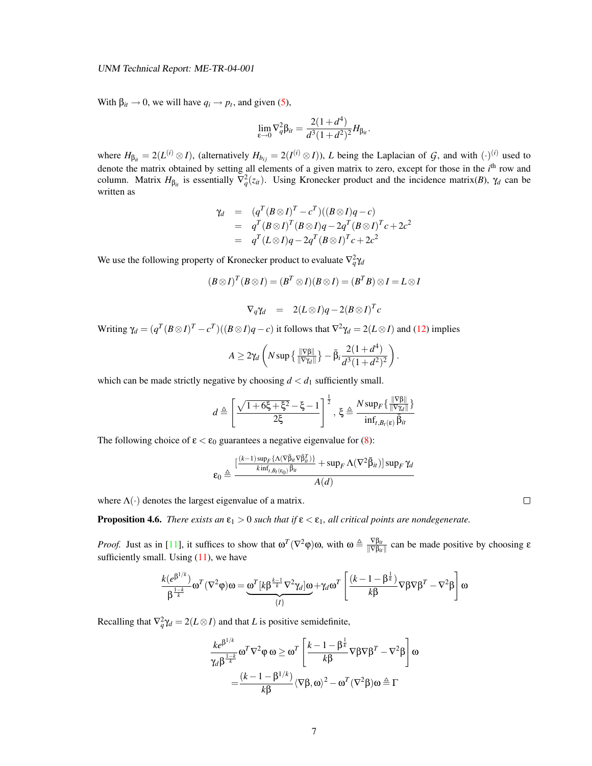With  $\beta_{it} \rightarrow 0$ , we will have  $q_i \rightarrow p_t$ , and given [\(5\)](#page-6-1),

$$
\lim_{\varepsilon \to 0} \nabla_q^2 \beta_{it} = \frac{2(1+d^4)}{d^3(1+d^2)^2} H_{\beta_{it}}.
$$

where  $H_{\beta_{it}} = 2(L^{(i)} \otimes I)$ , (alternatively  $H_{b_{ij}} = 2(I^{(i)} \otimes I)$ ), *L* being the Laplacian of *G*, and with  $(\cdot)^{(i)}$  used to denote the matrix obtained by setting all elements of a given matrix to zero, except for those in the *i*<sup>th</sup> row and column. Matrix  $H_{\beta_{it}}$  is essentially  $\nabla_q^2(z_{it})$ . Using Kronecker product and the incidence matrix(*B*),  $\gamma_d$  can be written as

$$
\gamma_d = (q^T (B \otimes I)^T - c^T)((B \otimes I)q - c)
$$
  
=  $q^T (B \otimes I)^T (B \otimes I)q - 2q^T (B \otimes I)^T c + 2c^2$   
=  $q^T (L \otimes I)q - 2q^T (B \otimes I)^T c + 2c^2$ 

We use the following property of Kronecker product to evaluate  $\nabla_q^2 \gamma_d$ 

$$
(B \otimes I)^{T} (B \otimes I) = (B^{T} \otimes I)(B \otimes I) = (B^{T} B) \otimes I = L \otimes I
$$

$$
\nabla_q \gamma_d = 2(L \otimes I)q - 2(B \otimes I)^T c
$$

Writing  $\gamma_d = (q^T (B \otimes I)^T - c^T)((B \otimes I)q - c)$  it follows that  $\nabla^2 \gamma_d = 2(L \otimes I)$  and [\(12\)](#page-8-2) implies

$$
A \geq 2\gamma_d \left( N \sup \left\{ \frac{\|\nabla \beta\|}{\|\nabla \gamma_d\|} \right\} - \bar{\beta}_i \frac{2(1+d^4)}{d^3(1+d^2)^2} \right).
$$

which can be made strictly negative by choosing  $d < d_1$  sufficiently small.

$$
d \triangleq \left[\frac{\sqrt{1+6\xi+\xi^2}-\xi-1}{2\xi}\right]^{\frac{1}{2}}, \xi \triangleq \frac{N \sup_{F} \{ \frac{\|\nabla \beta\|}{\|\nabla \gamma_d\|} \}}{\inf_{t,B_t(\varepsilon)} \bar{\beta}_u}
$$

The following choice of  $\epsilon < \epsilon_0$  guarantees a negative eigenvalue for [\(8\)](#page-7-5):

$$
\epsilon_0 \triangleq \frac{\left[\frac{(k-1)\sup_F \{\Lambda(\nabla \bar{\beta}_{it}\nabla\bar{\beta}_{it}^T)\} }{k\inf_{t,B_t(\varepsilon_0)}\bar{\beta}_{it}} + \sup_F \Lambda(\nabla^2 \bar{\beta}_{it})\right]\sup_F \gamma_d}{A(d)}
$$

where  $\Lambda(\cdot)$  denotes the largest eigenvalue of a matrix.

<span id="page-9-0"></span>**Proposition 4.6.** *There exists an*  $\varepsilon_1 > 0$  *such that if*  $\varepsilon < \varepsilon_1$ *, all critical points are nondegenerate.* 

*Proof.* Just as in [\[11\]](#page-13-6), it suffices to show that  $\omega^T(\nabla^2 \varphi) \omega$ , with  $\omega \triangleq \frac{\nabla \beta_{it}}{\|\nabla \beta_{it}\|}$  can be made positive by choosing  $\varepsilon$ sufficiently small. Using  $(11)$ , we have

$$
\frac{k(e^{\beta^{1/k}})}{\beta^{\frac{1-k}{k}}}\omega^T(\nabla^2\phi)\omega=\underbrace{\omega^T[k\beta^{\frac{k-1}{k}}\nabla^2\gamma_d]\omega}_{\{I\}}+\gamma_d\omega^T\left[\frac{(k-1-\beta^{\frac{1}{k}})}{k\beta}\nabla\beta\nabla\beta^T-\nabla^2\beta\right]\omega
$$

Recalling that  $\nabla_q^2 \gamma_d = 2(L \otimes I)$  and that *L* is positive semidefinite,

$$
\frac{ke^{\beta^{1/k}}}{\gamma_d \beta^{\frac{1-k}{k}}} \omega^T \nabla^2 \varphi \omega \ge \omega^T \left[ \frac{k-1-\beta^{\frac{1}{k}}}{k \beta} \nabla \beta \nabla \beta^T - \nabla^2 \beta \right] \omega
$$

$$
= \frac{(k-1-\beta^{1/k})}{k \beta} \langle \nabla \beta, \omega \rangle^2 - \omega^T (\nabla^2 \beta) \omega \triangleq \Gamma
$$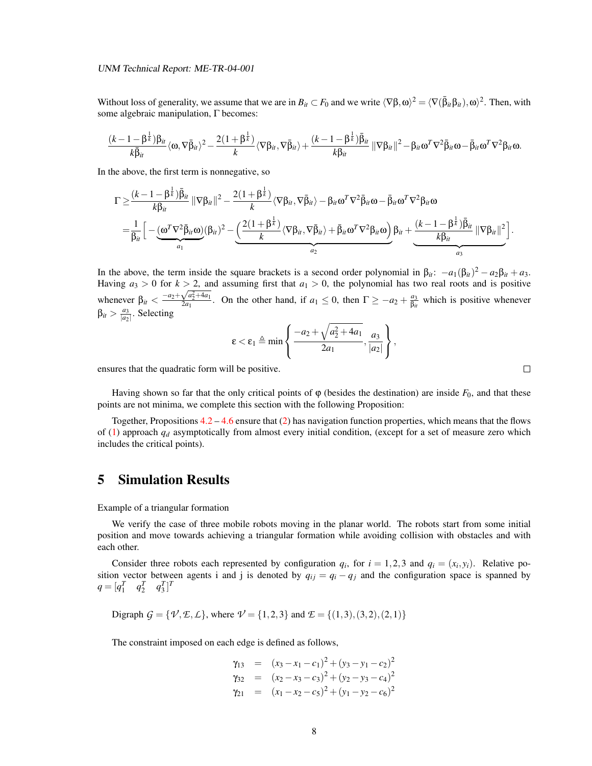Without loss of generality, we assume that we are in  $B_{it} \subset F_0$  and we write  $\langle \nabla \beta, \omega \rangle^2 = \langle \nabla(\bar{\beta}_{it} \beta_{it}), \omega \rangle^2$ . Then, with some algebraic manipulation, Γ becomes:

$$
\frac{(k-1-\beta^{\frac{1}{k}})\beta_{it}}{k\bar{\beta}_{it}}\langle\omega,\nabla\bar{\beta}_{it}\rangle^{2}-\frac{2(1+\beta^{\frac{1}{k}})}{k}\langle\nabla\beta_{it},\nabla\bar{\beta}_{it}\rangle+\frac{(k-1-\beta^{\frac{1}{k}})\bar{\beta}_{it}}{k\beta_{it}}\|\nabla\beta_{it}\|^{2}-\beta_{it}\omega^{T}\nabla^{2}\bar{\beta}_{it}\omega-\bar{\beta}_{it}\omega^{T}\nabla^{2}\beta_{it}\omega.
$$

In the above, the first term is nonnegative, so

$$
\Gamma \geq \frac{(k-1-\beta^{\frac{1}{k}})\bar{\beta}_{it}}{k\beta_{it}} \|\nabla \beta_{it}\|^2 - \frac{2(1+\beta^{\frac{1}{k}})}{k} \langle \nabla \beta_{it}, \nabla \bar{\beta}_{it} \rangle - \beta_{it} \omega^T \nabla^2 \bar{\beta}_{it} \omega - \bar{\beta}_{it} \omega^T \nabla^2 \beta_{it} \omega
$$

$$
= \frac{1}{\beta_{it}} \Big[ - \underbrace{(\omega^T \nabla^2 \bar{\beta}_{it} \omega)}_{a_1} (\beta_{it})^2 - \underbrace{\Big( \frac{2(1+\beta^{\frac{1}{k}})}{k} \langle \nabla \beta_{it}, \nabla \bar{\beta}_{it} \rangle + \bar{\beta}_{it} \omega^T \nabla^2 \beta_{it} \omega \Big)}_{a_2} \beta_{it} + \underbrace{\frac{(k-1-\beta^{\frac{1}{k}})\bar{\beta}_{it}}{k\beta_{it}} \|\nabla \beta_{it}\|^2 \Big]}_{a_3}.
$$

In the above, the term inside the square brackets is a second order polynomial in  $\beta_{it}$ :  $-a_1(\beta_{it})^2 - a_2\beta_{it} + a_3$ . Having  $a_3 > 0$  for  $k > 2$ , and assuming first that  $a_1 > 0$ , the polynomial has two real roots and is positive whenever  $\beta_{it} < \frac{-a_2 + \sqrt{a_2^2 + 4a_1}}{2a_1}$ . On the other hand, if  $a_1 \le 0$ , then  $\Gamma \ge -a_2 + \frac{a_3}{\beta_{it}}$  which is positive whenever  $β_{it} > \frac{a_3}{\sqrt{a_2}}$  $\frac{a_3}{|a_2|}$ . Selecting

$$
\varepsilon < \varepsilon_1 \triangleq \min\left\{\frac{-a_2 + \sqrt{a_2^2 + 4a_1}}{2a_1}, \frac{a_3}{|a_2|}\right\},\,
$$

ensures that the quadratic form will be positive.

Having shown so far that the only critical points of  $\varphi$  (besides the destination) are inside  $F_0$ , and that these points are not minima, we complete this section with the following Proposition:

Together, Propositions  $4.2 - 4.6$  $4.2 - 4.6$  $4.2 - 4.6$  ensure that [\(2\)](#page-5-0) has navigation function properties, which means that the flows of [\(1\)](#page-4-1) approach *q<sup>d</sup>* asymptotically from almost every initial condition, (except for a set of measure zero which includes the critical points).

### 5 Simulation Results

Example of a triangular formation

We verify the case of three mobile robots moving in the planar world. The robots start from some initial position and move towards achieving a triangular formation while avoiding collision with obstacles and with each other.

Consider three robots each represented by configuration  $q_i$ , for  $i = 1, 2, 3$  and  $q_i = (x_i, y_i)$ . Relative position vector between agents i and j is denoted by  $q_{ij} = q_i - q_j$  and the configuration space is spanned by  $q = [q_1^T \quad q_2^T \quad q_3^T]^T$ 

Digraph  $G = \{ \mathcal{V}, \mathcal{E}, \mathcal{L} \}$ , where  $\mathcal{V} = \{1, 2, 3\}$  and  $\mathcal{E} = \{(1,3), (3,2), (2,1)\}$ 

The constraint imposed on each edge is defined as follows,

$$
\gamma_{13} = (x_3 - x_1 - c_1)^2 + (y_3 - y_1 - c_2)^2
$$
  
\n
$$
\gamma_{32} = (x_2 - x_3 - c_3)^2 + (y_2 - y_3 - c_4)^2
$$
  
\n
$$
\gamma_{21} = (x_1 - x_2 - c_5)^2 + (y_1 - y_2 - c_6)^2
$$

 $\Box$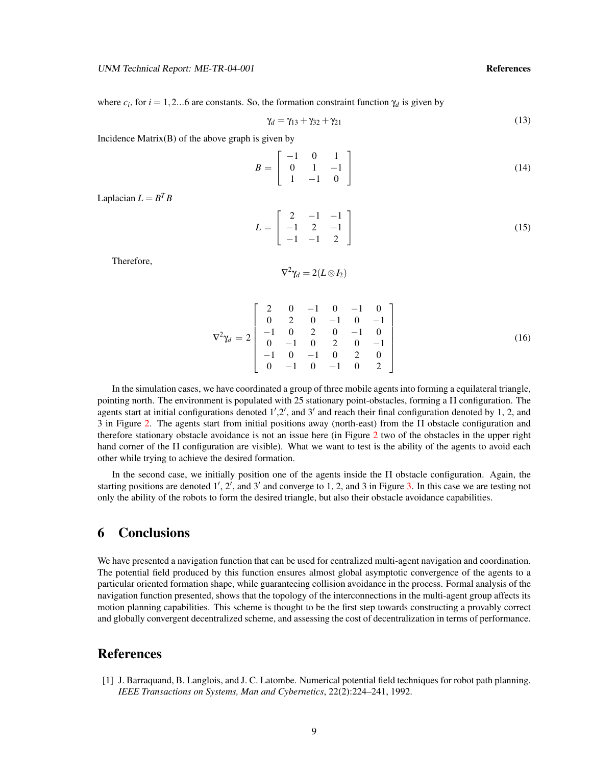where  $c_i$ , for  $i = 1, 2...6$  are constants. So, the formation constraint function  $\gamma_d$  is given by

$$
\gamma_d = \gamma_{13} + \gamma_{32} + \gamma_{21} \tag{13}
$$

Incidence  $Matrix(B)$  of the above graph is given by

$$
B = \left[ \begin{array}{rrr} -1 & 0 & 1 \\ 0 & 1 & -1 \\ 1 & -1 & 0 \end{array} \right] \tag{14}
$$

Laplacian  $L = B^T B$ 

$$
L = \begin{bmatrix} 2 & -1 & -1 \\ -1 & 2 & -1 \\ -1 & -1 & 2 \end{bmatrix}
$$
 (15)

Therefore,

$$
\nabla^2 \gamma_d = 2(L \otimes I_2)
$$

$$
\nabla^2 \gamma_d = 2 \begin{bmatrix} 2 & 0 & -1 & 0 & -1 & 0 \\ 0 & 2 & 0 & -1 & 0 & -1 \\ -1 & 0 & 2 & 0 & -1 & 0 \\ 0 & -1 & 0 & 2 & 0 & -1 \\ -1 & 0 & -1 & 0 & 2 & 0 \\ 0 & -1 & 0 & -1 & 0 & 2 \end{bmatrix}
$$
 (16)

In the simulation cases, we have coordinated a group of three mobile agents into forming a equilateral triangle, pointing north. The environment is populated with 25 stationary point-obstacles, forming a Π configuration. The agents start at initial configurations denoted  $1', 2'$ , and  $3'$  and reach their final configuration denoted by 1, 2, and 3 in Figure [2.](#page-12-9) The agents start from initial positions away (north-east) from the Π obstacle configuration and therefore stationary obstacle avoidance is not an issue here (in Figure [2](#page-12-9) two of the obstacles in the upper right hand corner of the Π configuration are visible). What we want to test is the ability of the agents to avoid each other while trying to achieve the desired formation.

In the second case, we initially position one of the agents inside the Π obstacle configuration. Again, the starting positions are denoted  $1', 2'$ , and  $3'$  and converge to 1, 2, and 3 in Figure [3.](#page-13-8) In this case we are testing not only the ability of the robots to form the desired triangle, but also their obstacle avoidance capabilities.

### 6 Conclusions

We have presented a navigation function that can be used for centralized multi-agent navigation and coordination. The potential field produced by this function ensures almost global asymptotic convergence of the agents to a particular oriented formation shape, while guaranteeing collision avoidance in the process. Formal analysis of the navigation function presented, shows that the topology of the interconnections in the multi-agent group affects its motion planning capabilities. This scheme is thought to be the first step towards constructing a provably correct and globally convergent decentralized scheme, and assessing the cost of decentralization in terms of performance.

### References

<span id="page-11-0"></span>[1] J. Barraquand, B. Langlois, and J. C. Latombe. Numerical potential field techniques for robot path planning. *IEEE Transactions on Systems, Man and Cybernetics*, 22(2):224–241, 1992.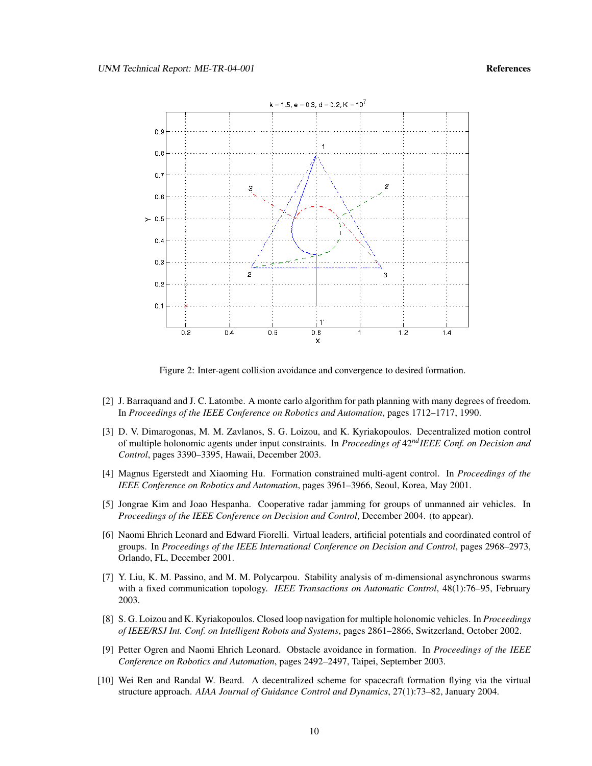

<span id="page-12-9"></span>Figure 2: Inter-agent collision avoidance and convergence to desired formation.

- <span id="page-12-3"></span>[2] J. Barraquand and J. C. Latombe. A monte carlo algorithm for path planning with many degrees of freedom. In *Proceedings of the IEEE Conference on Robotics and Automation*, pages 1712–1717, 1990.
- <span id="page-12-6"></span>[3] D. V. Dimarogonas, M. M. Zavlanos, S. G. Loizou, and K. Kyriakopoulos. Decentralized motion control of multiple holonomic agents under input constraints. In *Proceedings of* 42*ndIEEE Conf. on Decision and Control*, pages 3390–3395, Hawaii, December 2003.
- <span id="page-12-5"></span>[4] Magnus Egerstedt and Xiaoming Hu. Formation constrained multi-agent control. In *Proceedings of the IEEE Conference on Robotics and Automation*, pages 3961–3966, Seoul, Korea, May 2001.
- <span id="page-12-2"></span>[5] Jongrae Kim and Joao Hespanha. Cooperative radar jamming for groups of unmanned air vehicles. In *Proceedings of the IEEE Conference on Decision and Control*, December 2004. (to appear).
- <span id="page-12-7"></span>[6] Naomi Ehrich Leonard and Edward Fiorelli. Virtual leaders, artificial potentials and coordinated control of groups. In *Proceedings of the IEEE International Conference on Decision and Control*, pages 2968–2973, Orlando, FL, December 2001.
- <span id="page-12-0"></span>[7] Y. Liu, K. M. Passino, and M. M. Polycarpou. Stability analysis of m-dimensional asynchronous swarms with a fixed communication topology. *IEEE Transactions on Automatic Control*, 48(1):76–95, February 2003.
- <span id="page-12-4"></span>[8] S. G. Loizou and K. Kyriakopoulos. Closed loop navigation for multiple holonomic vehicles. In *Proceedings of IEEE/RSJ Int. Conf. on Intelligent Robots and Systems*, pages 2861–2866, Switzerland, October 2002.
- <span id="page-12-8"></span>[9] Petter Ogren and Naomi Ehrich Leonard. Obstacle avoidance in formation. In *Proceedings of the IEEE Conference on Robotics and Automation*, pages 2492–2497, Taipei, September 2003.
- <span id="page-12-1"></span>[10] Wei Ren and Randal W. Beard. A decentralized scheme for spacecraft formation flying via the virtual structure approach. *AIAA Journal of Guidance Control and Dynamics*, 27(1):73–82, January 2004.